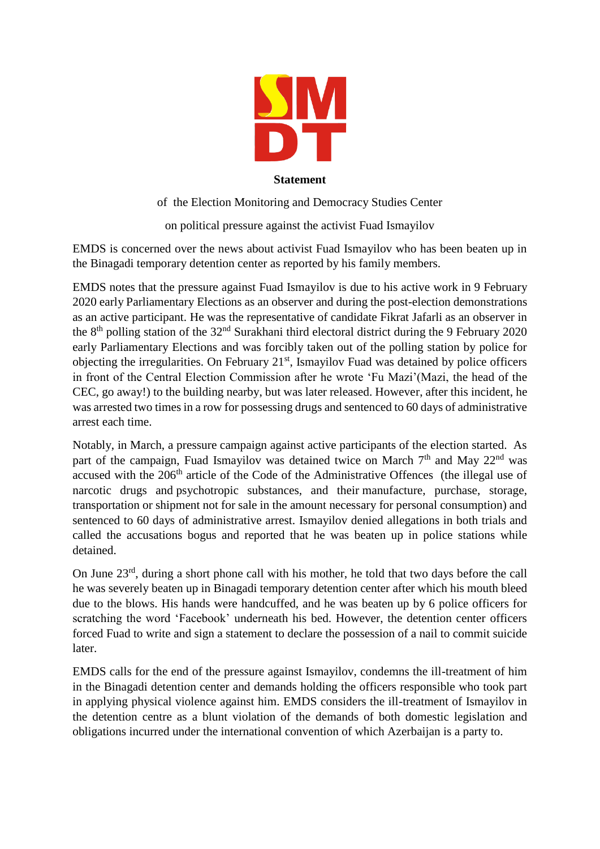

## **Statement**

of the Election Monitoring and Democracy Studies Center

on political pressure against the activist Fuad Ismayilov

EMDS is concerned over the news about activist Fuad Ismayilov who has been beaten up in the Binagadi temporary detention center as reported by his family members.

EMDS notes that the pressure against Fuad Ismayilov is due to his active work in 9 February 2020 early Parliamentary Elections as an observer and during the post-election demonstrations as an active participant. He was the representative of candidate Fikrat Jafarli as an observer in the 8th polling station of the 32nd Surakhani third electoral district during the 9 February 2020 early Parliamentary Elections and was forcibly taken out of the polling station by police for objecting the irregularities. On February 21<sup>st</sup>, Ismayilov Fuad was detained by police officers in front of the Central Election Commission after he wrote 'Fu Mazi'(Mazi, the head of the CEC, go away!) to the building nearby, but was later released. However, after this incident, he was arrested two times in a row for possessing drugs and sentenced to 60 days of administrative arrest each time.

Notably, in March, a pressure campaign against active participants of the election started. As part of the campaign, Fuad Ismayilov was detained twice on March  $7<sup>th</sup>$  and May  $22<sup>nd</sup>$  was accused with the 206<sup>th</sup> article of the Code of the Administrative Offences (the illegal use of narcotic drugs and psychotropic substances, and their manufacture, purchase, storage, transportation or shipment not for sale in the amount necessary for personal consumption) and sentenced to 60 days of administrative arrest. Ismayilov denied allegations in both trials and called the accusations bogus and reported that he was beaten up in police stations while detained.

On June  $23^{rd}$ , during a short phone call with his mother, he told that two days before the call he was severely beaten up in Binagadi temporary detention center after which his mouth bleed due to the blows. His hands were handcuffed, and he was beaten up by 6 police officers for scratching the word 'Facebook' underneath his bed. However, the detention center officers forced Fuad to write and sign a statement to declare the possession of a nail to commit suicide later.

EMDS calls for the end of the pressure against Ismayilov, condemns the ill-treatment of him in the Binagadi detention center and demands holding the officers responsible who took part in applying physical violence against him. EMDS considers the ill-treatment of Ismayilov in the detention centre as a blunt violation of the demands of both domestic legislation and obligations incurred under the international convention of which Azerbaijan is a party to.